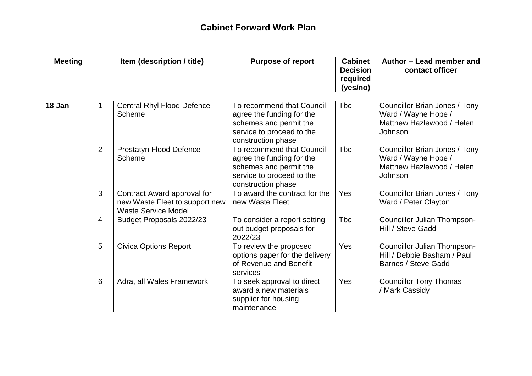## **Cabinet Forward Work Plan**

| <b>Meeting</b> |                | Item (description / title)                                                                  | <b>Purpose of report</b>                                                                                                            | <b>Cabinet</b><br><b>Decision</b><br>required<br>(yes/no) | Author - Lead member and<br>contact officer                                                  |  |
|----------------|----------------|---------------------------------------------------------------------------------------------|-------------------------------------------------------------------------------------------------------------------------------------|-----------------------------------------------------------|----------------------------------------------------------------------------------------------|--|
| 18 Jan         | 1.             | <b>Central Rhyl Flood Defence</b><br>Scheme                                                 | To recommend that Council<br>agree the funding for the<br>schemes and permit the<br>service to proceed to the<br>construction phase | <b>T</b> bc                                               | Councillor Brian Jones / Tony<br>Ward / Wayne Hope /<br>Matthew Hazlewood / Helen<br>Johnson |  |
|                | $\overline{2}$ | <b>Prestatyn Flood Defence</b><br>Scheme                                                    | To recommend that Council<br>agree the funding for the<br>schemes and permit the<br>service to proceed to the<br>construction phase | <b>Tbc</b>                                                | Councillor Brian Jones / Tony<br>Ward / Wayne Hope /<br>Matthew Hazlewood / Helen<br>Johnson |  |
|                | 3              | Contract Award approval for<br>new Waste Fleet to support new<br><b>Waste Service Model</b> | To award the contract for the<br>new Waste Fleet                                                                                    | Yes                                                       | Councillor Brian Jones / Tony<br>Ward / Peter Clayton                                        |  |
|                | $\overline{4}$ | Budget Proposals 2022/23                                                                    | To consider a report setting<br>out budget proposals for<br>2022/23                                                                 | <b>Tbc</b>                                                | Councillor Julian Thompson-<br>Hill / Steve Gadd                                             |  |
|                | 5              | <b>Civica Options Report</b>                                                                | To review the proposed<br>options paper for the delivery<br>of Revenue and Benefit<br>services                                      | Yes                                                       | Councillor Julian Thompson-<br>Hill / Debbie Basham / Paul<br>Barnes / Steve Gadd            |  |
|                | 6              | Adra, all Wales Framework                                                                   | To seek approval to direct<br>award a new materials<br>supplier for housing<br>maintenance                                          | Yes                                                       | <b>Councillor Tony Thomas</b><br>/ Mark Cassidy                                              |  |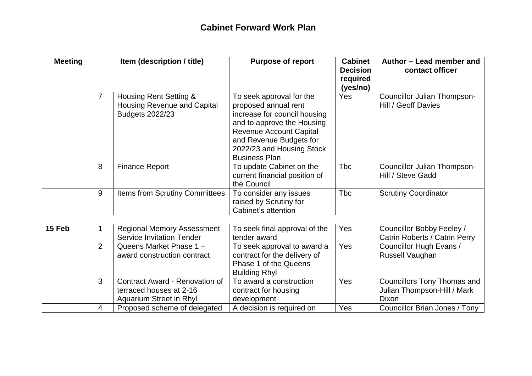| <b>Meeting</b> | Item (description / title) |                                                                                        | <b>Purpose of report</b>                                                                                                                                                                                                         | <b>Cabinet</b><br><b>Decision</b><br>required<br>(yes/no) | Author - Lead member and<br>contact officer                         |  |
|----------------|----------------------------|----------------------------------------------------------------------------------------|----------------------------------------------------------------------------------------------------------------------------------------------------------------------------------------------------------------------------------|-----------------------------------------------------------|---------------------------------------------------------------------|--|
|                | 7                          | Housing Rent Setting &<br><b>Housing Revenue and Capital</b><br><b>Budgets 2022/23</b> | To seek approval for the<br>proposed annual rent<br>increase for council housing<br>and to approve the Housing<br><b>Revenue Account Capital</b><br>and Revenue Budgets for<br>2022/23 and Housing Stock<br><b>Business Plan</b> | Yes                                                       | Councillor Julian Thompson-<br>Hill / Geoff Davies                  |  |
|                | 8                          | <b>Finance Report</b>                                                                  | To update Cabinet on the<br>current financial position of<br>the Council                                                                                                                                                         | <b>T</b> bc                                               | Councillor Julian Thompson-<br>Hill / Steve Gadd                    |  |
|                | 9                          | Items from Scrutiny Committees                                                         | To consider any issues<br>raised by Scrutiny for<br>Cabinet's attention                                                                                                                                                          | <b>T</b> bc                                               | <b>Scrutiny Coordinator</b>                                         |  |
|                |                            |                                                                                        |                                                                                                                                                                                                                                  |                                                           |                                                                     |  |
| 15 Feb         |                            | <b>Regional Memory Assessment</b><br><b>Service Invitation Tender</b>                  | To seek final approval of the<br>tender award                                                                                                                                                                                    | <b>Yes</b>                                                | Councillor Bobby Feeley /<br>Catrin Roberts / Catrin Perry          |  |
|                | $\overline{2}$             | Queens Market Phase 1 -<br>award construction contract                                 | To seek approval to award a<br>contract for the delivery of<br>Phase 1 of the Queens<br><b>Building Rhyl</b>                                                                                                                     | Yes                                                       | Councillor Hugh Evans /<br>Russell Vaughan                          |  |
|                | 3                          | Contract Award - Renovation of<br>terraced houses at 2-16<br>Aquarium Street in Rhyl   | To award a construction<br>contract for housing<br>development                                                                                                                                                                   | Yes                                                       | Councillors Tony Thomas and<br>Julian Thompson-Hill / Mark<br>Dixon |  |
|                | 4                          | Proposed scheme of delegated                                                           | A decision is required on                                                                                                                                                                                                        | Yes                                                       | Councillor Brian Jones / Tony                                       |  |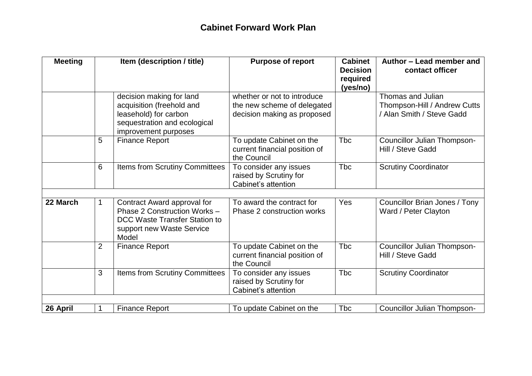| <b>Meeting</b> | Item (description / title) |                                                                                                                                        | <b>Purpose of report</b>                                                                  | <b>Cabinet</b><br><b>Decision</b><br>required<br>(yes/no) | Author - Lead member and<br>contact officer                                    |  |
|----------------|----------------------------|----------------------------------------------------------------------------------------------------------------------------------------|-------------------------------------------------------------------------------------------|-----------------------------------------------------------|--------------------------------------------------------------------------------|--|
|                |                            | decision making for land<br>acquisition (freehold and<br>leasehold) for carbon<br>sequestration and ecological<br>improvement purposes | whether or not to introduce<br>the new scheme of delegated<br>decision making as proposed |                                                           | Thomas and Julian<br>Thompson-Hill / Andrew Cutts<br>/ Alan Smith / Steve Gadd |  |
|                | 5                          | <b>Finance Report</b>                                                                                                                  | To update Cabinet on the<br>current financial position of<br>the Council                  | <b>T</b> bc                                               | <b>Councillor Julian Thompson-</b><br>Hill / Steve Gadd                        |  |
|                | 6                          | Items from Scrutiny Committees                                                                                                         | To consider any issues<br>raised by Scrutiny for<br>Cabinet's attention                   | <b>Tbc</b>                                                | <b>Scrutiny Coordinator</b>                                                    |  |
| 22 March       | $\mathbf 1$                | Contract Award approval for<br>Phase 2 Construction Works -<br>DCC Waste Transfer Station to<br>support new Waste Service<br>Model     | To award the contract for<br>Phase 2 construction works                                   | Yes                                                       | Councillor Brian Jones / Tony<br>Ward / Peter Clayton                          |  |
|                | $\overline{2}$             | <b>Finance Report</b>                                                                                                                  | To update Cabinet on the<br>current financial position of<br>the Council                  | <b>Tbc</b>                                                | Councillor Julian Thompson-<br>Hill / Steve Gadd                               |  |
|                | 3                          | <b>Items from Scrutiny Committees</b>                                                                                                  | To consider any issues<br>raised by Scrutiny for<br>Cabinet's attention                   | <b>T</b> bc                                               | <b>Scrutiny Coordinator</b>                                                    |  |
| 26 April       |                            | <b>Finance Report</b>                                                                                                                  | To update Cabinet on the                                                                  | <b>Tbc</b>                                                | <b>Councillor Julian Thompson-</b>                                             |  |